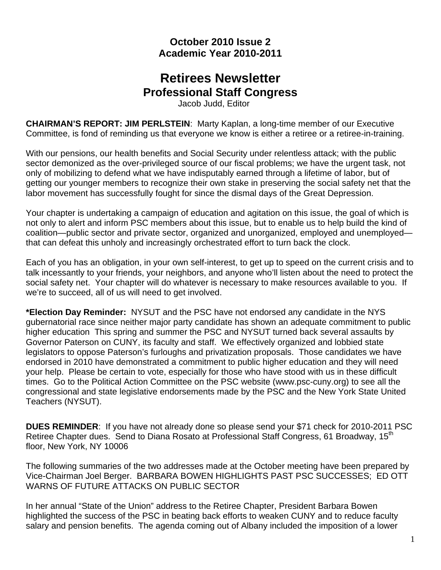## **October 2010 Issue 2 Academic Year 2010-2011**

# **Retirees Newsletter Professional Staff Congress**

Jacob Judd, Editor

**CHAIRMAN'S REPORT: JIM PERLSTEIN**: Marty Kaplan, a long-time member of our Executive Committee, is fond of reminding us that everyone we know is either a retiree or a retiree-in-training.

With our pensions, our health benefits and Social Security under relentless attack; with the public sector demonized as the over-privileged source of our fiscal problems; we have the urgent task, not only of mobilizing to defend what we have indisputably earned through a lifetime of labor, but of getting our younger members to recognize their own stake in preserving the social safety net that the labor movement has successfully fought for since the dismal days of the Great Depression.

Your chapter is undertaking a campaign of education and agitation on this issue, the goal of which is not only to alert and inform PSC members about this issue, but to enable us to help build the kind of coalition—public sector and private sector, organized and unorganized, employed and unemployed that can defeat this unholy and increasingly orchestrated effort to turn back the clock.

Each of you has an obligation, in your own self-interest, to get up to speed on the current crisis and to talk incessantly to your friends, your neighbors, and anyone who'll listen about the need to protect the social safety net. Your chapter will do whatever is necessary to make resources available to you. If we're to succeed, all of us will need to get involved.

**\*Election Day Reminder:** NYSUT and the PSC have not endorsed any candidate in the NYS gubernatorial race since neither major party candidate has shown an adequate commitment to public higher education This spring and summer the PSC and NYSUT turned back several assaults by Governor Paterson on CUNY, its faculty and staff. We effectively organized and lobbied state legislators to oppose Paterson's furloughs and privatization proposals. Those candidates we have endorsed in 2010 have demonstrated a commitment to public higher education and they will need your help. Please be certain to vote, especially for those who have stood with us in these difficult times. Go to the Political Action Committee on the PSC website (www.psc-cuny.org) to see all the congressional and state legislative endorsements made by the PSC and the New York State United Teachers (NYSUT).

**DUES REMINDER**: If you have not already done so please send your \$71 check for 2010-2011 PSC Retiree Chapter dues. Send to Diana Rosato at Professional Staff Congress, 61 Broadway, 15<sup>th</sup> floor, New York, NY 10006

The following summaries of the two addresses made at the October meeting have been prepared by Vice-Chairman Joel Berger. BARBARA BOWEN HIGHLIGHTS PAST PSC SUCCESSES; ED OTT WARNS OF FUTURE ATTACKS ON PUBLIC SECTOR

In her annual "State of the Union" address to the Retiree Chapter, President Barbara Bowen highlighted the success of the PSC in beating back efforts to weaken CUNY and to reduce faculty salary and pension benefits. The agenda coming out of Albany included the imposition of a lower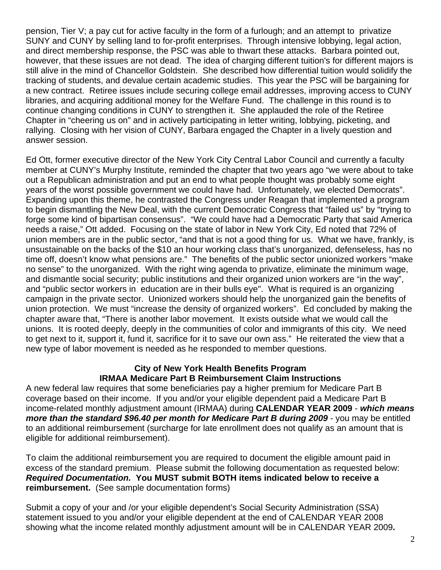pension, Tier V; a pay cut for active faculty in the form of a furlough; and an attempt to privatize SUNY and CUNY by selling land to for-profit enterprises. Through intensive lobbying, legal action, and direct membership response, the PSC was able to thwart these attacks. Barbara pointed out, however, that these issues are not dead. The idea of charging different tuition's for different majors is still alive in the mind of Chancellor Goldstein. She described how differential tuition would solidify the tracking of students, and devalue certain academic studies. This year the PSC will be bargaining for a new contract. Retiree issues include securing college email addresses, improving access to CUNY libraries, and acquiring additional money for the Welfare Fund. The challenge in this round is to continue changing conditions in CUNY to strengthen it. She applauded the role of the Retiree Chapter in "cheering us on" and in actively participating in letter writing, lobbying, picketing, and rallying. Closing with her vision of CUNY, Barbara engaged the Chapter in a lively question and answer session.

Ed Ott, former executive director of the New York City Central Labor Council and currently a faculty member at CUNY's Murphy Institute, reminded the chapter that two years ago "we were about to take out a Republican administration and put an end to what people thought was probably some eight years of the worst possible government we could have had. Unfortunately, we elected Democrats". Expanding upon this theme, he contrasted the Congress under Reagan that implemented a program to begin dismantling the New Deal, with the current Democratic Congress that "failed us" by "trying to forge some kind of bipartisan consensus". "We could have had a Democratic Party that said America needs a raise," Ott added. Focusing on the state of labor in New York City, Ed noted that 72% of union members are in the public sector, "and that is not a good thing for us. What we have, frankly, is unsustainable on the backs of the \$10 an hour working class that's unorganized, defenseless, has no time off, doesn't know what pensions are." The benefits of the public sector unionized workers "make no sense" to the unorganized. With the right wing agenda to privatize, eliminate the minimum wage, and dismantle social security; public institutions and their organized union workers are "in the way", and "public sector workers in education are in their bulls eye". What is required is an organizing campaign in the private sector. Unionized workers should help the unorganized gain the benefits of union protection. We must "increase the density of organized workers". Ed concluded by making the chapter aware that, "There is another labor movement. It exists outside what we would call the unions. It is rooted deeply, deeply in the communities of color and immigrants of this city. We need to get next to it, support it, fund it, sacrifice for it to save our own ass." He reiterated the view that a new type of labor movement is needed as he responded to member questions.

### **City of New York Health Benefits Program IRMAA Medicare Part B Reimbursement Claim Instructions**

A new federal law requires that some beneficiaries pay a higher premium for Medicare Part B coverage based on their income. If you and/or your eligible dependent paid a Medicare Part B income-related monthly adjustment amount (IRMAA) during **CALENDAR YEAR 2009** - *which means more than the standard \$96.40 per month for Medicare Part B during 2009* - you may be entitled to an additional reimbursement (surcharge for late enrollment does not qualify as an amount that is eligible for additional reimbursement).

To claim the additional reimbursement you are required to document the eligible amount paid in excess of the standard premium. Please submit the following documentation as requested below: *Required Documentation.* **You MUST submit BOTH items indicated below to receive a reimbursement.** (See sample documentation forms)

Submit a copy of your and /or your eligible dependent's Social Security Administration (SSA) statement issued to you and/or your eligible dependent at the end of CALENDAR YEAR 2008 showing what the income related monthly adjustment amount will be in CALENDAR YEAR 2009**.**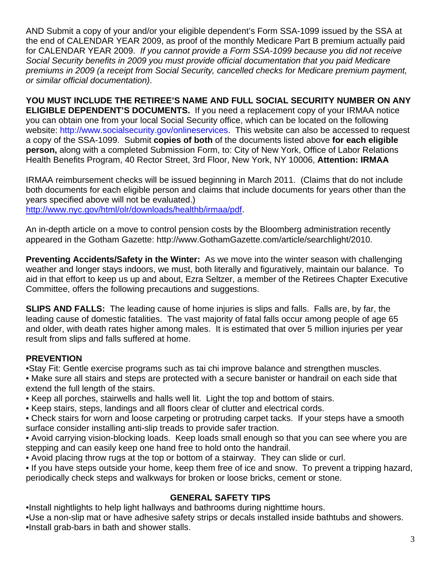AND Submit a copy of your and/or your eligible dependent's Form SSA-1099 issued by the SSA at the end of CALENDAR YEAR 2009, as proof of the monthly Medicare Part B premium actually paid for CALENDAR YEAR 2009. *If you cannot provide a Form SSA-1099 because you did not receive Social Security benefits in 2009 you must provide official documentation that you paid Medicare premiums in 2009 (a receipt from Social Security, cancelled checks for Medicare premium payment, or similar official documentation)*.

**YOU MUST INCLUDE THE RETIREE'S NAME AND FULL SOCIAL SECURITY NUMBER ON ANY ELIGIBLE DEPENDENT'S DOCUMENTS.** If you need a replacement copy of your IRMAA notice you can obtain one from your local Social Security office, which can be located on the following website: http://www.socialsecurity.gov/onlineservices. This website can also be accessed to request a copy of the SSA-1099. Submit **copies of both** of the documents listed above **for each eligible person,** along with a completed Submission Form, to: City of New York, Office of Labor Relations Health Benefits Program, 40 Rector Street, 3rd Floor, New York, NY 10006, **Attention: IRMAA** 

IRMAA reimbursement checks will be issued beginning in March 2011. (Claims that do not include both documents for each eligible person and claims that include documents for years other than the years specified above will not be evaluated.)

http://www.nyc.gov/html/olr/downloads/healthb/irmaa/pdf.

An in-depth article on a move to control pension costs by the Bloomberg administration recently appeared in the Gotham Gazette: http://www.GothamGazette.com/article/searchlight/2010.

**Preventing Accidents/Safety in the Winter:** As we move into the winter season with challenging weather and longer stays indoors, we must, both literally and figuratively, maintain our balance. To aid in that effort to keep us up and about, Ezra Seltzer, a member of the Retirees Chapter Executive Committee, offers the following precautions and suggestions.

**SLIPS AND FALLS:** The leading cause of home injuries is slips and falls. Falls are, by far, the leading cause of domestic fatalities. The vast majority of fatal falls occur among people of age 65 and older, with death rates higher among males. It is estimated that over 5 million injuries per year result from slips and falls suffered at home.

### **PREVENTION**

•Stay Fit: Gentle exercise programs such as tai chi improve balance and strengthen muscles.

• Make sure all stairs and steps are protected with a secure banister or handrail on each side that extend the full length of the stairs.

- Keep all porches, stairwells and halls well lit. Light the top and bottom of stairs.
- Keep stairs, steps, landings and all floors clear of clutter and electrical cords.
- Check stairs for worn and loose carpeting or protruding carpet tacks. If your steps have a smooth surface consider installing anti-slip treads to provide safer traction.
- Avoid carrying vision-blocking loads. Keep loads small enough so that you can see where you are stepping and can easily keep one hand free to hold onto the handrail.
- Avoid placing throw rugs at the top or bottom of a stairway. They can slide or curl.
- If you have steps outside your home, keep them free of ice and snow. To prevent a tripping hazard, periodically check steps and walkways for broken or loose bricks, cement or stone.

## **GENERAL SAFETY TIPS**

•Install nightlights to help light hallways and bathrooms during nighttime hours.

•Use a non-slip mat or have adhesive safety strips or decals installed inside bathtubs and showers. •Install grab-bars in bath and shower stalls.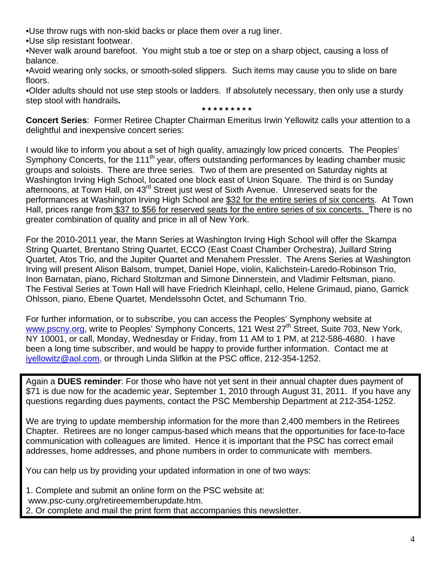•Use throw rugs with non-skid backs or place them over a rug liner.

•Use slip resistant footwear.

•Never walk around barefoot. You might stub a toe or step on a sharp object, causing a loss of balance.

•Avoid wearing only socks, or smooth-soled slippers. Such items may cause you to slide on bare floors.

•Older adults should not use step stools or ladders. If absolutely necessary, then only use a sturdy step stool with handrails**.** 

**\* \* \* \* \* \* \* \* \*** 

**Concert Series**: Former Retiree Chapter Chairman Emeritus Irwin Yellowitz calls your attention to a delightful and inexpensive concert series:

I would like to inform you about a set of high quality, amazingly low priced concerts. The Peoples' Symphony Concerts, for the 111<sup>th</sup> year, offers outstanding performances by leading chamber music groups and soloists. There are three series. Two of them are presented on Saturday nights at Washington Irving High School, located one block east of Union Square. The third is on Sunday afternoons, at Town Hall, on 43rd Street just west of Sixth Avenue. Unreserved seats for the performances at Washington Irving High School are \$32 for the entire series of six concerts. At Town Hall, prices range from \$37 to \$56 for reserved seats for the entire series of six concerts. There is no greater combination of quality and price in all of New York.

For the 2010-2011 year, the Mann Series at Washington Irving High School will offer the Skampa String Quartet, Brentano String Quartet, ECCO (East Coast Chamber Orchestra), Juillard String Quartet, Atos Trio, and the Jupiter Quartet and Menahem Pressler. The Arens Series at Washington Irving will present Alison Balsom, trumpet, Daniel Hope, violin, Kalichstein-Laredo-Robinson Trio, Inon Barnatan, piano, Richard Stoltzman and Simone Dinnerstein, and Vladimir Feltsman, piano. The Festival Series at Town Hall will have Friedrich Kleinhapl, cello, Helene Grimaud, piano, Garrick Ohlsson, piano, Ebene Quartet, Mendelssohn Octet, and Schumann Trio.

For further information, or to subscribe, you can access the Peoples' Symphony website at www.pscny.org, write to Peoples' Symphony Concerts, 121 West 27<sup>th</sup> Street, Suite 703, New York, NY 10001, or call, Monday, Wednesday or Friday, from 11 AM to 1 PM, at 212-586-4680. I have been a long time subscriber, and would be happy to provide further information. Contact me at iyellowitz@aol.com, or through Linda Slifkin at the PSC office, 212-354-1252.

Again a **DUES reminder**: For those who have not yet sent in their annual chapter dues payment of \$71 is due now for the academic year, September 1, 2010 through August 31, 2011. If you have any questions regarding dues payments, contact the PSC Membership Department at 212-354-1252.

We are trying to update membership information for the more than 2,400 members in the Retirees Chapter. Retirees are no longer campus-based which means that the opportunities for face-to-face communication with colleagues are limited. Hence it is important that the PSC has correct email addresses, home addresses, and phone numbers in order to communicate with members.

You can help us by providing your updated information in one of two ways:

1. Complete and submit an online form on the PSC website at:

www.psc-cuny.org/retireememberupdate.htm.

2. Or complete and mail the print form that accompanies this newsletter.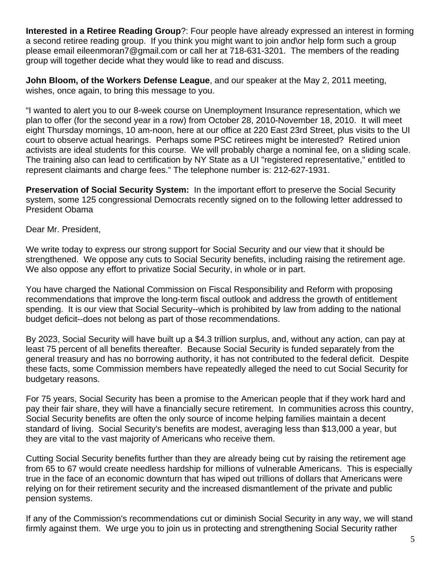**Interested in a Retiree Reading Group**?: Four people have already expressed an interest in forming a second retiree reading group. If you think you might want to join and\or help form such a group please email eileenmoran7@gmail.com or call her at 718-631-3201. The members of the reading group will together decide what they would like to read and discuss.

**John Bloom, of the Workers Defense League**, and our speaker at the May 2, 2011 meeting, wishes, once again, to bring this message to you.

"I wanted to alert you to our 8-week course on Unemployment Insurance representation, which we plan to offer (for the second year in a row) from October 28, 2010-November 18, 2010. It will meet eight Thursday mornings, 10 am-noon, here at our office at 220 East 23rd Street, plus visits to the UI court to observe actual hearings. Perhaps some PSC retirees might be interested? Retired union activists are ideal students for this course. We will probably charge a nominal fee, on a sliding scale. The training also can lead to certification by NY State as a UI "registered representative," entitled to represent claimants and charge fees." The telephone number is: 212-627-1931.

**Preservation of Social Security System:** In the important effort to preserve the Social Security system, some 125 congressional Democrats recently signed on to the following letter addressed to President Obama

Dear Mr. President,

We write today to express our strong support for Social Security and our view that it should be strengthened. We oppose any cuts to Social Security benefits, including raising the retirement age. We also oppose any effort to privatize Social Security, in whole or in part.

You have charged the National Commission on Fiscal Responsibility and Reform with proposing recommendations that improve the long-term fiscal outlook and address the growth of entitlement spending. It is our view that Social Security--which is prohibited by law from adding to the national budget deficit--does not belong as part of those recommendations.

By 2023, Social Security will have built up a \$4.3 trillion surplus, and, without any action, can pay at least 75 percent of all benefits thereafter. Because Social Security is funded separately from the general treasury and has no borrowing authority, it has not contributed to the federal deficit. Despite these facts, some Commission members have repeatedly alleged the need to cut Social Security for budgetary reasons.

For 75 years, Social Security has been a promise to the American people that if they work hard and pay their fair share, they will have a financially secure retirement. In communities across this country, Social Security benefits are often the only source of income helping families maintain a decent standard of living. Social Security's benefits are modest, averaging less than \$13,000 a year, but they are vital to the vast majority of Americans who receive them.

Cutting Social Security benefits further than they are already being cut by raising the retirement age from 65 to 67 would create needless hardship for millions of vulnerable Americans. This is especially true in the face of an economic downturn that has wiped out trillions of dollars that Americans were relying on for their retirement security and the increased dismantlement of the private and public pension systems.

If any of the Commission's recommendations cut or diminish Social Security in any way, we will stand firmly against them. We urge you to join us in protecting and strengthening Social Security rather